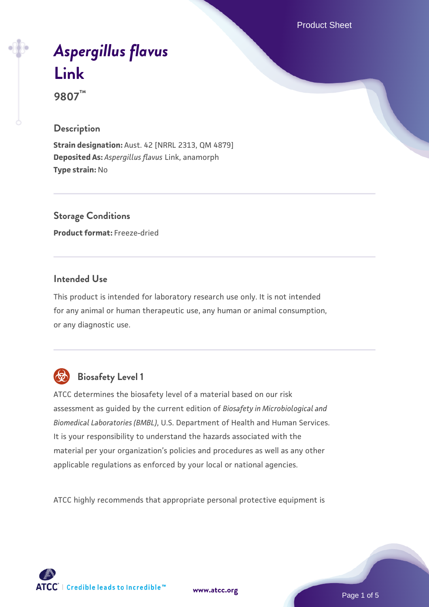Product Sheet

# *[Aspergillus flavus](https://www.atcc.org/products/9807)* **[Link](https://www.atcc.org/products/9807)**

**9807™**

### **Description**

**Strain designation:** Aust. 42 [NRRL 2313, QM 4879] **Deposited As:** *Aspergillus flavus* Link, anamorph **Type strain:** No

**Storage Conditions Product format:** Freeze-dried

## **Intended Use**

This product is intended for laboratory research use only. It is not intended for any animal or human therapeutic use, any human or animal consumption, or any diagnostic use.



## **Biosafety Level 1**

ATCC determines the biosafety level of a material based on our risk assessment as guided by the current edition of *Biosafety in Microbiological and Biomedical Laboratories (BMBL)*, U.S. Department of Health and Human Services. It is your responsibility to understand the hazards associated with the material per your organization's policies and procedures as well as any other applicable regulations as enforced by your local or national agencies.

ATCC highly recommends that appropriate personal protective equipment is

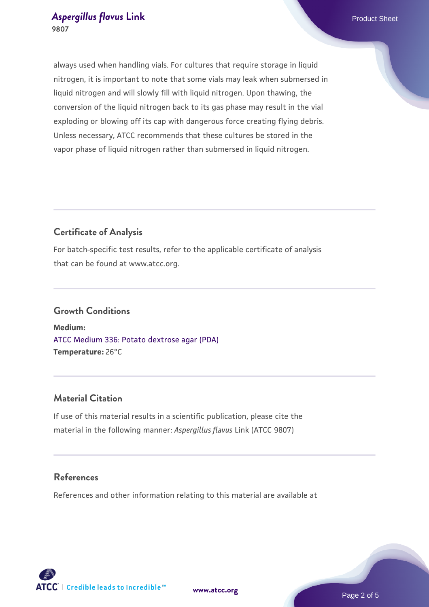always used when handling vials. For cultures that require storage in liquid nitrogen, it is important to note that some vials may leak when submersed in liquid nitrogen and will slowly fill with liquid nitrogen. Upon thawing, the conversion of the liquid nitrogen back to its gas phase may result in the vial exploding or blowing off its cap with dangerous force creating flying debris. Unless necessary, ATCC recommends that these cultures be stored in the vapor phase of liquid nitrogen rather than submersed in liquid nitrogen.

## **Certificate of Analysis**

For batch-specific test results, refer to the applicable certificate of analysis that can be found at www.atcc.org.

## **Growth Conditions**

**Medium:**  [ATCC Medium 336: Potato dextrose agar \(PDA\)](https://www.atcc.org/-/media/product-assets/documents/microbial-media-formulations/3/3/6/atcc-medium-336.pdf?rev=d9160ad44d934cd8b65175461abbf3b9) **Temperature:** 26°C

## **Material Citation**

If use of this material results in a scientific publication, please cite the material in the following manner: *Aspergillus flavus* Link (ATCC 9807)

## **References**

References and other information relating to this material are available at





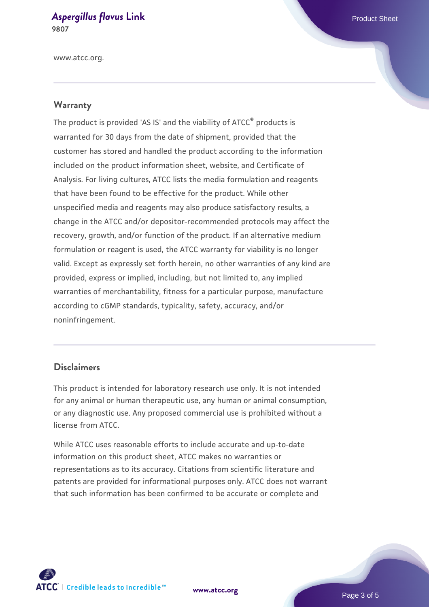www.atcc.org.

#### **Warranty**

The product is provided 'AS IS' and the viability of ATCC® products is warranted for 30 days from the date of shipment, provided that the customer has stored and handled the product according to the information included on the product information sheet, website, and Certificate of Analysis. For living cultures, ATCC lists the media formulation and reagents that have been found to be effective for the product. While other unspecified media and reagents may also produce satisfactory results, a change in the ATCC and/or depositor-recommended protocols may affect the recovery, growth, and/or function of the product. If an alternative medium formulation or reagent is used, the ATCC warranty for viability is no longer valid. Except as expressly set forth herein, no other warranties of any kind are provided, express or implied, including, but not limited to, any implied warranties of merchantability, fitness for a particular purpose, manufacture according to cGMP standards, typicality, safety, accuracy, and/or noninfringement.

#### **Disclaimers**

This product is intended for laboratory research use only. It is not intended for any animal or human therapeutic use, any human or animal consumption, or any diagnostic use. Any proposed commercial use is prohibited without a license from ATCC.

While ATCC uses reasonable efforts to include accurate and up-to-date information on this product sheet, ATCC makes no warranties or representations as to its accuracy. Citations from scientific literature and patents are provided for informational purposes only. ATCC does not warrant that such information has been confirmed to be accurate or complete and



**[www.atcc.org](http://www.atcc.org)**

Page 3 of 5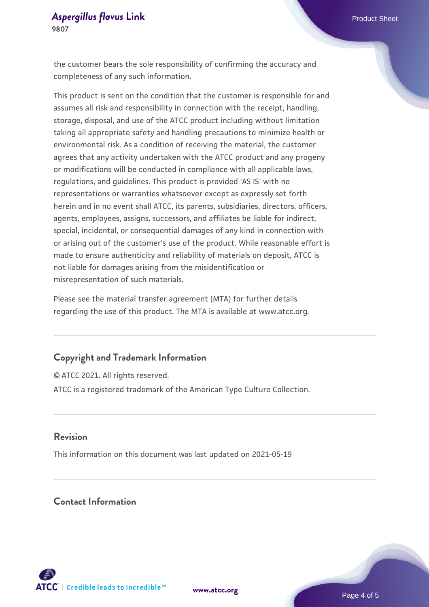the customer bears the sole responsibility of confirming the accuracy and completeness of any such information.

This product is sent on the condition that the customer is responsible for and assumes all risk and responsibility in connection with the receipt, handling, storage, disposal, and use of the ATCC product including without limitation taking all appropriate safety and handling precautions to minimize health or environmental risk. As a condition of receiving the material, the customer agrees that any activity undertaken with the ATCC product and any progeny or modifications will be conducted in compliance with all applicable laws, regulations, and guidelines. This product is provided 'AS IS' with no representations or warranties whatsoever except as expressly set forth herein and in no event shall ATCC, its parents, subsidiaries, directors, officers, agents, employees, assigns, successors, and affiliates be liable for indirect, special, incidental, or consequential damages of any kind in connection with or arising out of the customer's use of the product. While reasonable effort is made to ensure authenticity and reliability of materials on deposit, ATCC is not liable for damages arising from the misidentification or misrepresentation of such materials.

Please see the material transfer agreement (MTA) for further details regarding the use of this product. The MTA is available at www.atcc.org.

#### **Copyright and Trademark Information**

© ATCC 2021. All rights reserved. ATCC is a registered trademark of the American Type Culture Collection.

#### **Revision**

This information on this document was last updated on 2021-05-19

## **Contact Information**



**[www.atcc.org](http://www.atcc.org)**